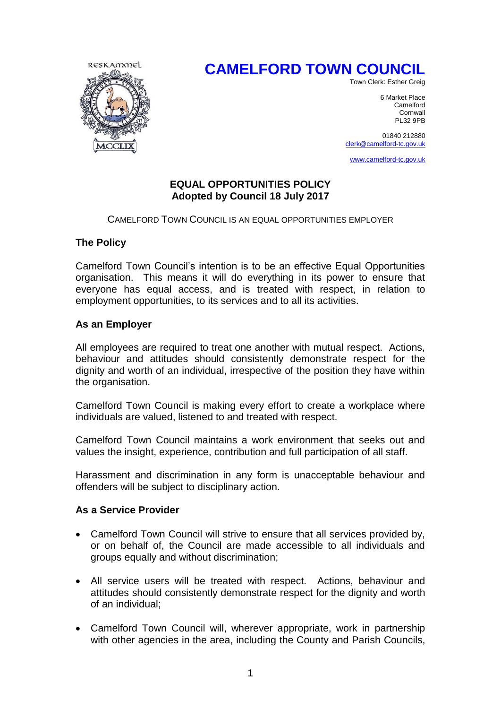

# **CAMELFORD TOWN COUNCIL**

Town Clerk: Esther Greig

6 Market Place<br>Camelford Camelford **Cornwall** PL32 9PB

> 01840 212880 [clerk@camelford-tc.gov.uk](mailto:clerk@camelford-tc.gov.uk)

[www.camelford-tc.gov.uk](http://www.camelfordtown.net/)

## **EQUAL OPPORTUNITIES POLICY Adopted by Council 18 July 2017**

CAMELFORD TOWN COUNCIL IS AN EQUAL OPPORTUNITIES EMPLOYER

# **The Policy**

Camelford Town Council's intention is to be an effective Equal Opportunities organisation. This means it will do everything in its power to ensure that everyone has equal access, and is treated with respect, in relation to employment opportunities, to its services and to all its activities.

# **As an Employer**

All employees are required to treat one another with mutual respect. Actions, behaviour and attitudes should consistently demonstrate respect for the dignity and worth of an individual, irrespective of the position they have within the organisation.

Camelford Town Council is making every effort to create a workplace where individuals are valued, listened to and treated with respect.

Camelford Town Council maintains a work environment that seeks out and values the insight, experience, contribution and full participation of all staff.

Harassment and discrimination in any form is unacceptable behaviour and offenders will be subject to disciplinary action.

## **As a Service Provider**

- Camelford Town Council will strive to ensure that all services provided by, or on behalf of, the Council are made accessible to all individuals and groups equally and without discrimination;
- All service users will be treated with respect. Actions, behaviour and attitudes should consistently demonstrate respect for the dignity and worth of an individual;
- Camelford Town Council will, wherever appropriate, work in partnership with other agencies in the area, including the County and Parish Councils,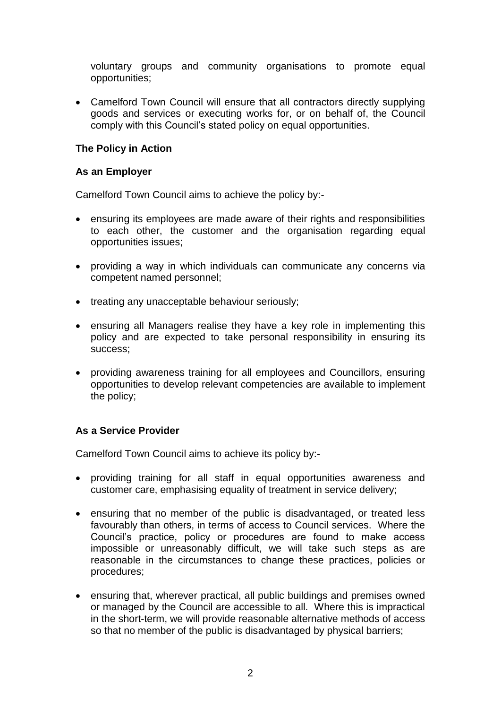voluntary groups and community organisations to promote equal opportunities;

 Camelford Town Council will ensure that all contractors directly supplying goods and services or executing works for, or on behalf of, the Council comply with this Council's stated policy on equal opportunities.

#### **The Policy in Action**

#### **As an Employer**

Camelford Town Council aims to achieve the policy by:-

- ensuring its employees are made aware of their rights and responsibilities to each other, the customer and the organisation regarding equal opportunities issues;
- providing a way in which individuals can communicate any concerns via competent named personnel;
- treating any unacceptable behaviour seriously:
- ensuring all Managers realise they have a key role in implementing this policy and are expected to take personal responsibility in ensuring its success;
- providing awareness training for all employees and Councillors, ensuring opportunities to develop relevant competencies are available to implement the policy;

## **As a Service Provider**

Camelford Town Council aims to achieve its policy by:-

- providing training for all staff in equal opportunities awareness and customer care, emphasising equality of treatment in service delivery;
- ensuring that no member of the public is disadvantaged, or treated less favourably than others, in terms of access to Council services. Where the Council's practice, policy or procedures are found to make access impossible or unreasonably difficult, we will take such steps as are reasonable in the circumstances to change these practices, policies or procedures;
- ensuring that, wherever practical, all public buildings and premises owned or managed by the Council are accessible to all. Where this is impractical in the short-term, we will provide reasonable alternative methods of access so that no member of the public is disadvantaged by physical barriers;